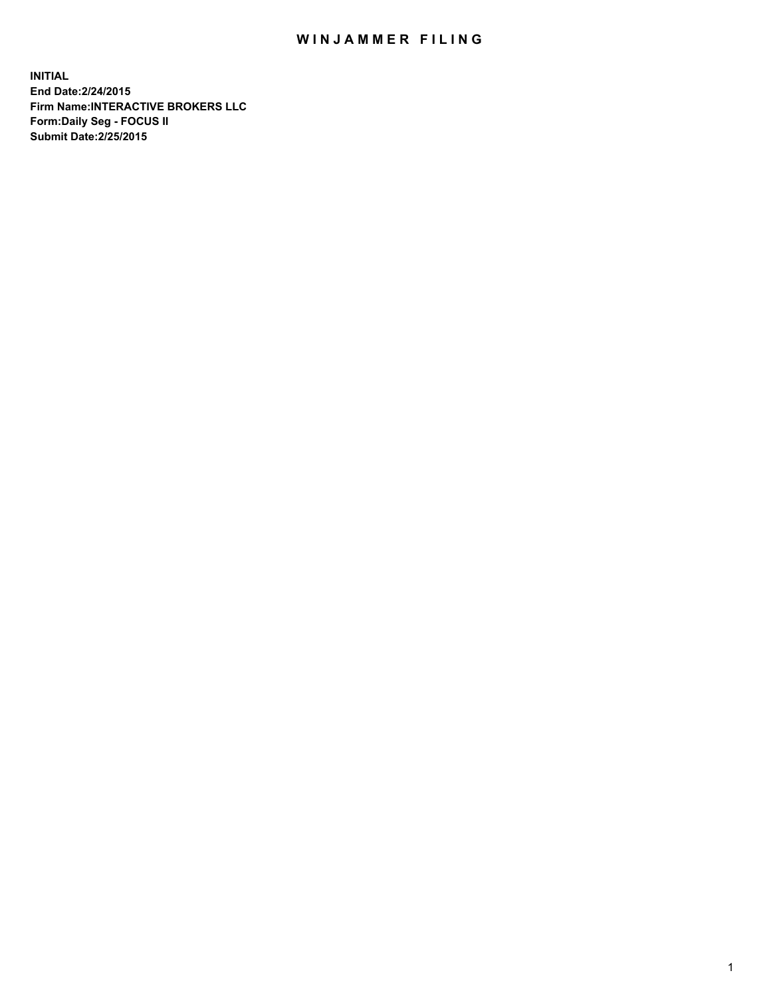## WIN JAMMER FILING

**INITIAL End Date:2/24/2015 Firm Name:INTERACTIVE BROKERS LLC Form:Daily Seg - FOCUS II Submit Date:2/25/2015**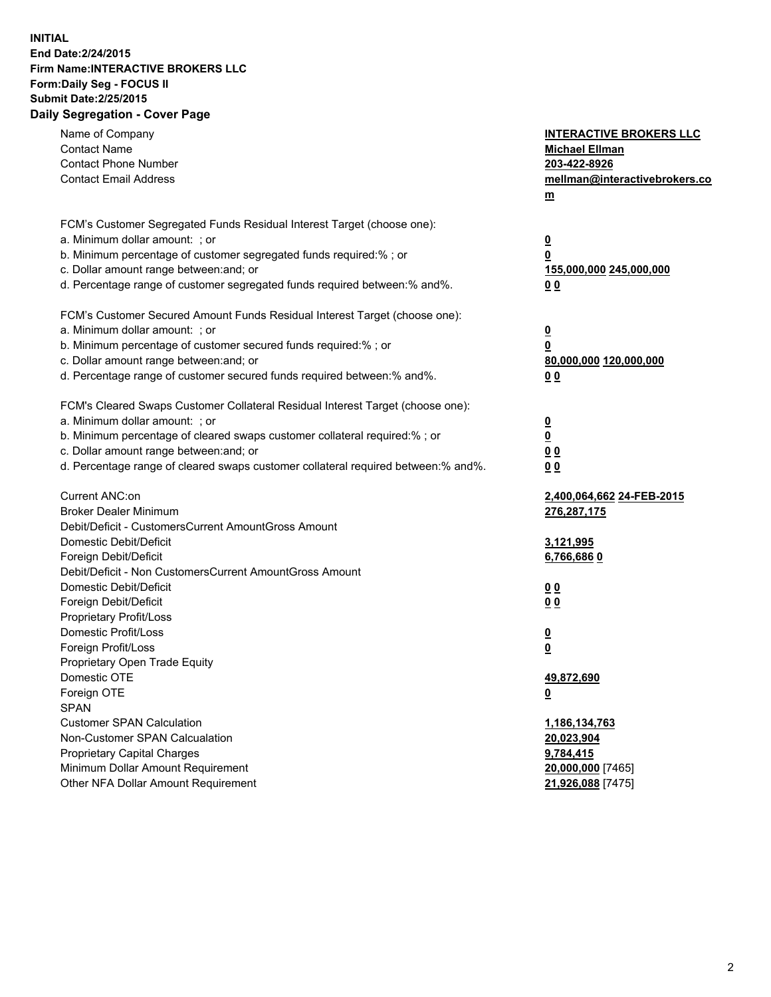## **INITIAL End Date:2/24/2015 Firm Name:INTERACTIVE BROKERS LLC Form:Daily Seg - FOCUS II Submit Date:2/25/2015 Daily Segregation - Cover Page**

| Name of Company<br><b>Contact Name</b><br><b>Contact Phone Number</b><br><b>Contact Email Address</b>                                                                                                                                                                                                                          | <b>INTERACTIVE BROKERS LLC</b><br><b>Michael Ellman</b><br>203-422-8926<br>mellman@interactivebrokers.co<br>m |
|--------------------------------------------------------------------------------------------------------------------------------------------------------------------------------------------------------------------------------------------------------------------------------------------------------------------------------|---------------------------------------------------------------------------------------------------------------|
| FCM's Customer Segregated Funds Residual Interest Target (choose one):<br>a. Minimum dollar amount: ; or<br>b. Minimum percentage of customer segregated funds required:% ; or<br>c. Dollar amount range between: and; or<br>d. Percentage range of customer segregated funds required between:% and%.                         | $\overline{\mathbf{0}}$<br>0<br>155,000,000 245,000,000<br>00                                                 |
| FCM's Customer Secured Amount Funds Residual Interest Target (choose one):<br>a. Minimum dollar amount: ; or<br>b. Minimum percentage of customer secured funds required:% ; or<br>c. Dollar amount range between: and; or<br>d. Percentage range of customer secured funds required between:% and%.                           | $\overline{\mathbf{0}}$<br>0<br>80,000,000 120,000,000<br>0 <sub>0</sub>                                      |
| FCM's Cleared Swaps Customer Collateral Residual Interest Target (choose one):<br>a. Minimum dollar amount: ; or<br>b. Minimum percentage of cleared swaps customer collateral required:% ; or<br>c. Dollar amount range between: and; or<br>d. Percentage range of cleared swaps customer collateral required between:% and%. | $\overline{\mathbf{0}}$<br><u>0</u><br>0 <sub>0</sub><br>0 <sub>0</sub>                                       |
| Current ANC:on<br><b>Broker Dealer Minimum</b><br>Debit/Deficit - CustomersCurrent AmountGross Amount<br>Domestic Debit/Deficit<br>Foreign Debit/Deficit                                                                                                                                                                       | 2,400,064,662 24-FEB-2015<br>276,287,175<br>3,121,995<br>6,766,6860                                           |
| Debit/Deficit - Non CustomersCurrent AmountGross Amount<br>Domestic Debit/Deficit<br>Foreign Debit/Deficit<br>Proprietary Profit/Loss<br>Domestic Profit/Loss<br>Foreign Profit/Loss                                                                                                                                           | 0 <sub>0</sub><br>0 <sub>0</sub><br>$\overline{\mathbf{0}}$<br>$\overline{\mathbf{0}}$                        |
| Proprietary Open Trade Equity<br>Domestic OTE<br>Foreign OTE<br><b>SPAN</b><br><b>Customer SPAN Calculation</b>                                                                                                                                                                                                                | 49,872,690<br><u>0</u><br>1,186,134,763                                                                       |
| Non-Customer SPAN Calcualation<br><b>Proprietary Capital Charges</b><br>Minimum Dollar Amount Requirement<br>Other NFA Dollar Amount Requirement                                                                                                                                                                               | 20,023,904<br>9,784,415<br>20,000,000 [7465]<br>21,926,088 [7475]                                             |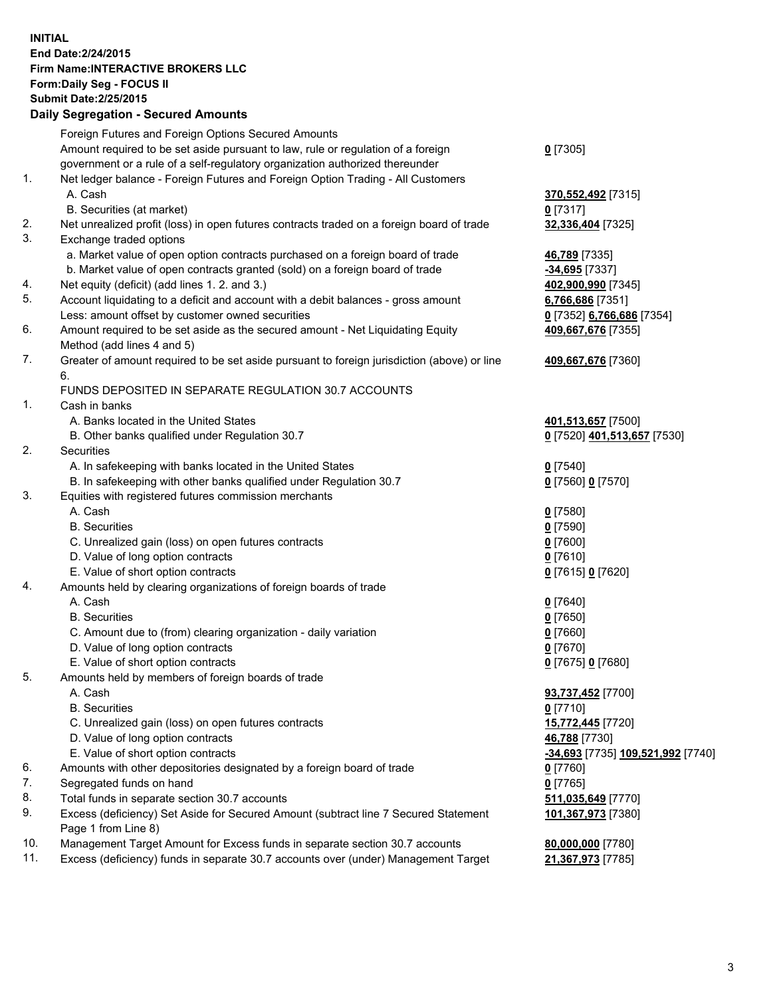## **INITIAL End Date:2/24/2015 Firm Name:INTERACTIVE BROKERS LLC Form:Daily Seg - FOCUS II Submit Date:2/25/2015 Daily Segregation - Secured Amounts**

|     | Daily Ocglegation - Occarea Anioants                                                        |                                   |
|-----|---------------------------------------------------------------------------------------------|-----------------------------------|
|     | Foreign Futures and Foreign Options Secured Amounts                                         |                                   |
|     | Amount required to be set aside pursuant to law, rule or regulation of a foreign            | $0$ [7305]                        |
|     | government or a rule of a self-regulatory organization authorized thereunder                |                                   |
| 1.  | Net ledger balance - Foreign Futures and Foreign Option Trading - All Customers             |                                   |
|     | A. Cash                                                                                     | 370,552,492 [7315]                |
|     | B. Securities (at market)                                                                   | $0$ [7317]                        |
| 2.  | Net unrealized profit (loss) in open futures contracts traded on a foreign board of trade   | 32,336,404 [7325]                 |
| 3.  | Exchange traded options                                                                     |                                   |
|     | a. Market value of open option contracts purchased on a foreign board of trade              | 46,789 [7335]                     |
|     | b. Market value of open contracts granted (sold) on a foreign board of trade                | -34,695 [7337]                    |
| 4.  | Net equity (deficit) (add lines 1.2. and 3.)                                                | 402,900,990 [7345]                |
| 5.  | Account liquidating to a deficit and account with a debit balances - gross amount           | 6,766,686 [7351]                  |
|     | Less: amount offset by customer owned securities                                            | 0 [7352] 6,766,686 [7354]         |
| 6.  | Amount required to be set aside as the secured amount - Net Liquidating Equity              | 409,667,676 [7355]                |
|     | Method (add lines 4 and 5)                                                                  |                                   |
| 7.  | Greater of amount required to be set aside pursuant to foreign jurisdiction (above) or line | 409,667,676 [7360]                |
|     | 6.                                                                                          |                                   |
|     | FUNDS DEPOSITED IN SEPARATE REGULATION 30.7 ACCOUNTS                                        |                                   |
| 1.  | Cash in banks                                                                               |                                   |
|     | A. Banks located in the United States                                                       | 401,513,657 [7500]                |
|     | B. Other banks qualified under Regulation 30.7                                              | 0 [7520] 401,513,657 [7530]       |
| 2.  | Securities                                                                                  |                                   |
|     | A. In safekeeping with banks located in the United States                                   | $0$ [7540]                        |
|     | B. In safekeeping with other banks qualified under Regulation 30.7                          | 0 [7560] 0 [7570]                 |
| 3.  | Equities with registered futures commission merchants                                       |                                   |
|     | A. Cash                                                                                     | $0$ [7580]                        |
|     | <b>B.</b> Securities                                                                        | $0$ [7590]                        |
|     | C. Unrealized gain (loss) on open futures contracts                                         | $0$ [7600]                        |
|     | D. Value of long option contracts                                                           | $0$ [7610]                        |
|     | E. Value of short option contracts                                                          | 0 [7615] 0 [7620]                 |
| 4.  | Amounts held by clearing organizations of foreign boards of trade                           |                                   |
|     | A. Cash                                                                                     | $0$ [7640]                        |
|     | <b>B.</b> Securities                                                                        | $0$ [7650]                        |
|     | C. Amount due to (from) clearing organization - daily variation                             | $0$ [7660]                        |
|     | D. Value of long option contracts                                                           | $0$ [7670]                        |
|     | E. Value of short option contracts                                                          | 0 [7675] 0 [7680]                 |
| 5.  | Amounts held by members of foreign boards of trade                                          |                                   |
|     | A. Cash                                                                                     | 93,737,452 [7700]                 |
|     | <b>B.</b> Securities                                                                        | $0$ [7710]                        |
|     | C. Unrealized gain (loss) on open futures contracts                                         | 15,772,445 [7720]                 |
|     | D. Value of long option contracts                                                           | 46,788 [7730]                     |
|     | E. Value of short option contracts                                                          | -34,693 [7735] 109,521,992 [7740] |
| 6.  | Amounts with other depositories designated by a foreign board of trade                      | $0$ [7760]                        |
| 7.  | Segregated funds on hand                                                                    | $0$ [7765]                        |
| 8.  | Total funds in separate section 30.7 accounts                                               | 511,035,649 [7770]                |
| 9.  | Excess (deficiency) Set Aside for Secured Amount (subtract line 7 Secured Statement         | 101,367,973 [7380]                |
|     | Page 1 from Line 8)                                                                         |                                   |
| 10. | Management Target Amount for Excess funds in separate section 30.7 accounts                 | 80,000,000 [7780]                 |
| 11. | Excess (deficiency) funds in separate 30.7 accounts over (under) Management Target          | 21,367,973 [7785]                 |
|     |                                                                                             |                                   |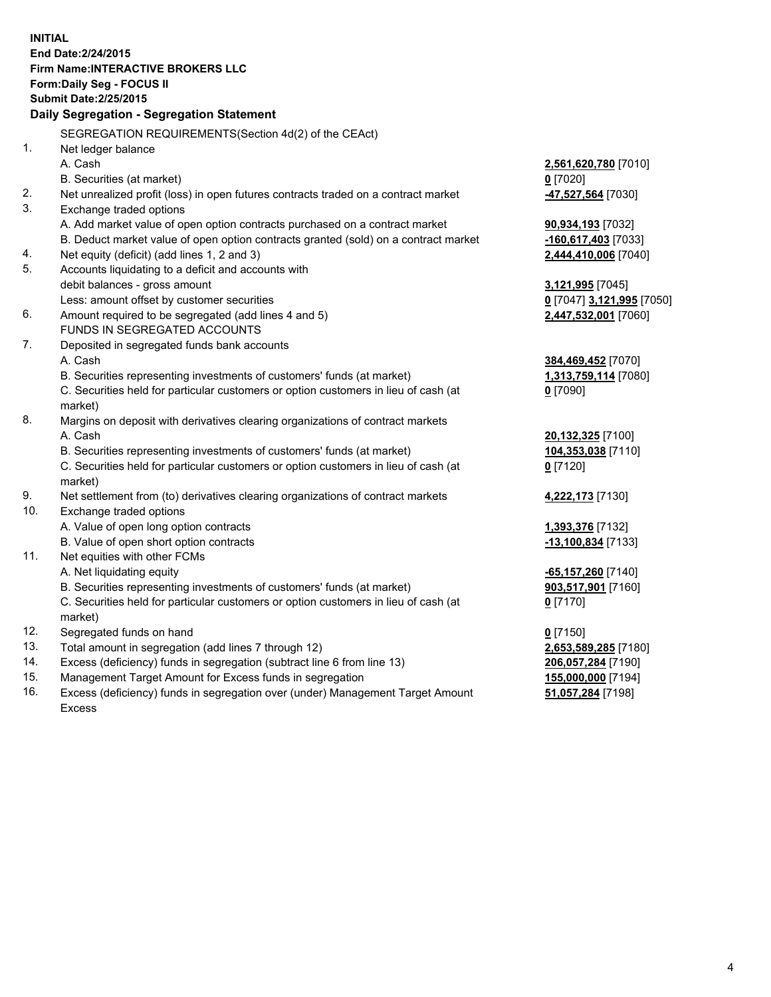**INITIAL End Date:2/24/2015 Firm Name:INTERACTIVE BROKERS LLC Form:Daily Seg - FOCUS II Submit Date:2/25/2015 Daily Segregation - Segregation Statement** SEGREGATION REQUIREMENTS(Section 4d(2) of the CEAct) 1. Net ledger balance A. Cash **2,561,620,780** [7010] B. Securities (at market) **0** [7020] 2. Net unrealized profit (loss) in open futures contracts traded on a contract market **-47,527,564** [7030] 3. Exchange traded options A. Add market value of open option contracts purchased on a contract market **90,934,193** [7032] B. Deduct market value of open option contracts granted (sold) on a contract market **-160,617,403** [7033] 4. Net equity (deficit) (add lines 1, 2 and 3) **2,444,410,006** [7040] 5. Accounts liquidating to a deficit and accounts with debit balances - gross amount **3,121,995** [7045] Less: amount offset by customer securities **0** [7047] **3,121,995** [7050] 6. Amount required to be segregated (add lines 4 and 5) **2,447,532,001** [7060] FUNDS IN SEGREGATED ACCOUNTS 7. Deposited in segregated funds bank accounts A. Cash **384,469,452** [7070] B. Securities representing investments of customers' funds (at market) **1,313,759,114** [7080] C. Securities held for particular customers or option customers in lieu of cash (at market) **0** [7090] 8. Margins on deposit with derivatives clearing organizations of contract markets A. Cash **20,132,325** [7100] B. Securities representing investments of customers' funds (at market) **104,353,038** [7110] C. Securities held for particular customers or option customers in lieu of cash (at market) **0** [7120] 9. Net settlement from (to) derivatives clearing organizations of contract markets **4,222,173** [7130] 10. Exchange traded options A. Value of open long option contracts **1,393,376** [7132] B. Value of open short option contracts **-13,100,834** [7133] 11. Net equities with other FCMs A. Net liquidating equity **-65,157,260** [7140] B. Securities representing investments of customers' funds (at market) **903,517,901** [7160] C. Securities held for particular customers or option customers in lieu of cash (at market) **0** [7170] 12. Segregated funds on hand **0** [7150] 13. Total amount in segregation (add lines 7 through 12) **2,653,589,285** [7180] 14. Excess (deficiency) funds in segregation (subtract line 6 from line 13) **206,057,284** [7190] 15. Management Target Amount for Excess funds in segregation **155,000,000** [7194]

16. Excess (deficiency) funds in segregation over (under) Management Target Amount Excess

**51,057,284** [7198]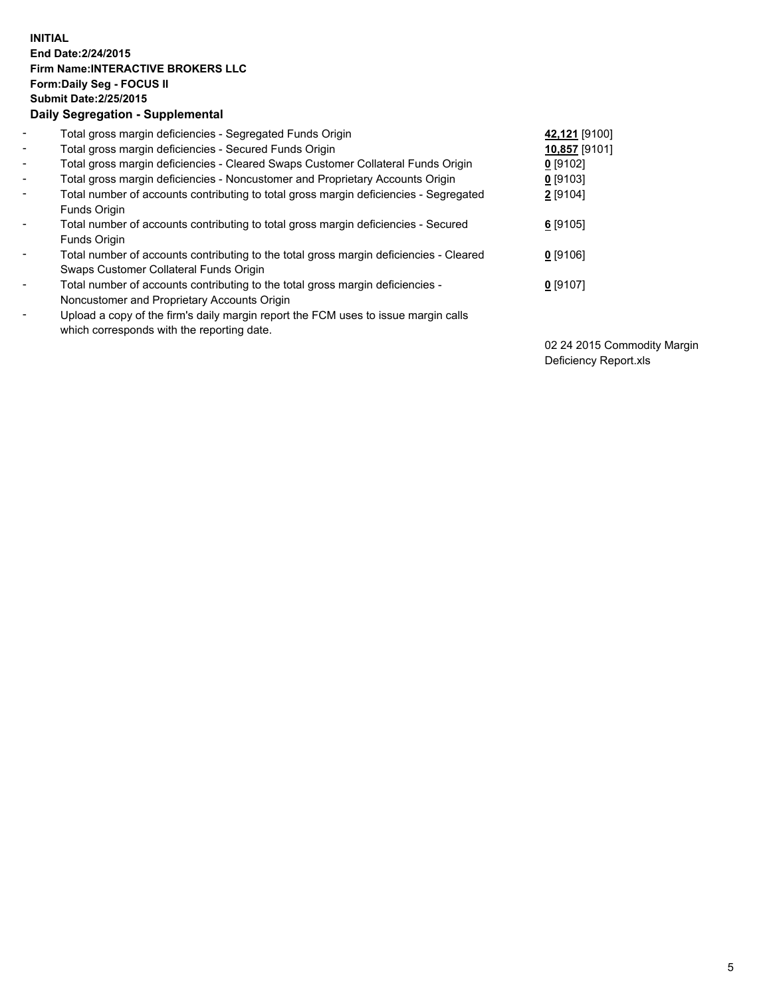## **INITIAL End Date:2/24/2015 Firm Name:INTERACTIVE BROKERS LLC Form:Daily Seg - FOCUS II Submit Date:2/25/2015 Daily Segregation - Supplemental**

| 42,121 [9100] |
|---------------|
| 10,857 [9101] |
|               |
|               |
|               |
|               |
|               |
|               |
|               |
|               |
|               |
|               |
|               |
|               |

02 24 2015 Commodity Margin Deficiency Report.xls